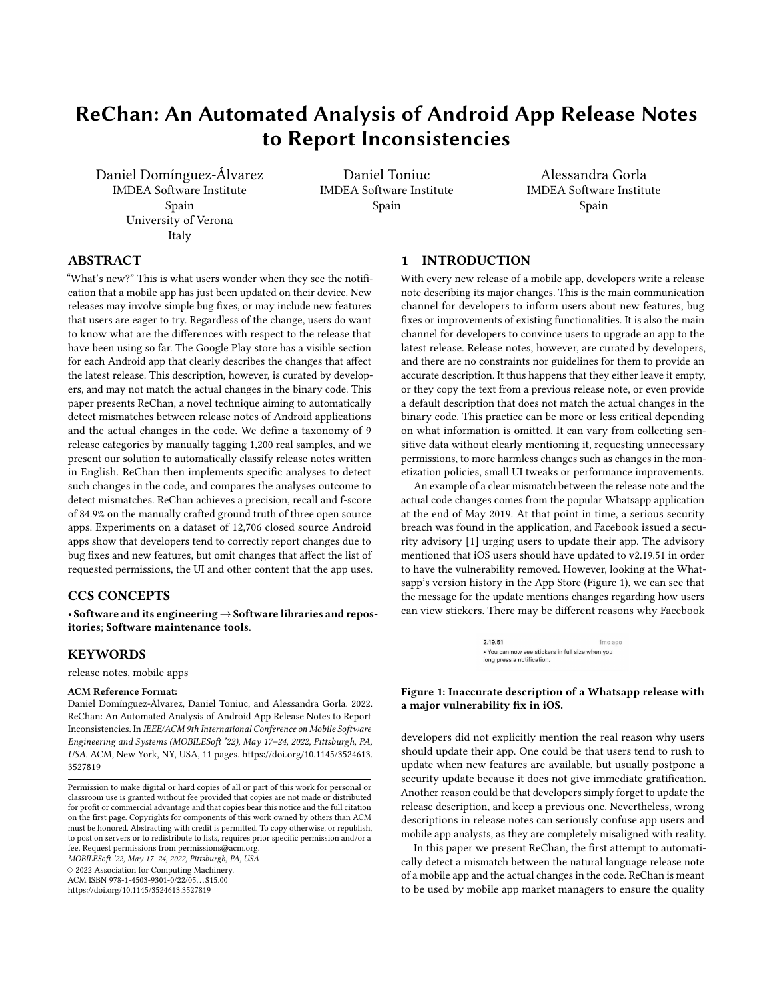# ReChan: An Automated Analysis of Android App Release Notes to Report Inconsistencies

Daniel Domínguez-Álvarez IMDEA Software Institute Spain University of Verona Italy

Daniel Toniuc IMDEA Software Institute Spain

Alessandra Gorla IMDEA Software Institute Spain

# ABSTRACT

"What's new?" This is what users wonder when they see the notification that a mobile app has just been updated on their device. New releases may involve simple bug fixes, or may include new features that users are eager to try. Regardless of the change, users do want to know what are the differences with respect to the release that have been using so far. The Google Play store has a visible section for each Android app that clearly describes the changes that affect the latest release. This description, however, is curated by developers, and may not match the actual changes in the binary code. This paper presents ReChan, a novel technique aiming to automatically detect mismatches between release notes of Android applications and the actual changes in the code. We define a taxonomy of 9 release categories by manually tagging 1,200 real samples, and we present our solution to automatically classify release notes written in English. ReChan then implements specific analyses to detect such changes in the code, and compares the analyses outcome to detect mismatches. ReChan achieves a precision, recall and f-score of 84.9% on the manually crafted ground truth of three open source apps. Experiments on a dataset of 12,706 closed source Android apps show that developers tend to correctly report changes due to bug fixes and new features, but omit changes that affect the list of requested permissions, the UI and other content that the app uses.

# CCS CONCEPTS

• Software and its engineering  $\rightarrow$  Software libraries and repositories; Software maintenance tools.

## **KEYWORDS**

release notes, mobile apps

#### ACM Reference Format:

Daniel Domínguez-Álvarez, Daniel Toniuc, and Alessandra Gorla. 2022. ReChan: An Automated Analysis of Android App Release Notes to Report Inconsistencies. In IEEE/ACM 9th International Conference on Mobile Software Engineering and Systems (MOBILESoft '22), May 17–24, 2022, Pittsburgh, PA, USA. ACM, New York, NY, USA, [11](#page-10-0) pages. [https://doi.org/10.1145/3524613.](https://doi.org/10.1145/3524613.3527819) [3527819](https://doi.org/10.1145/3524613.3527819)

MOBILESoft '22, May 17–24, 2022, Pittsburgh, PA, USA © 2022 Association for Computing Machinery. ACM ISBN 978-1-4503-9301-0/22/05. . . \$15.00 <https://doi.org/10.1145/3524613.3527819>

# <span id="page-0-1"></span>1 INTRODUCTION

With every new release of a mobile app, developers write a release note describing its major changes. This is the main communication channel for developers to inform users about new features, bug fixes or improvements of existing functionalities. It is also the main channel for developers to convince users to upgrade an app to the latest release. Release notes, however, are curated by developers, and there are no constraints nor guidelines for them to provide an accurate description. It thus happens that they either leave it empty, or they copy the text from a previous release note, or even provide a default description that does not match the actual changes in the binary code. This practice can be more or less critical depending on what information is omitted. It can vary from collecting sensitive data without clearly mentioning it, requesting unnecessary permissions, to more harmless changes such as changes in the monetization policies, small UI tweaks or performance improvements.

An example of a clear mismatch between the release note and the actual code changes comes from the popular Whatsapp application at the end of May 2019. At that point in time, a serious security breach was found in the application, and Facebook issued a security advisory [\[1\]](#page-10-1) urging users to update their app. The advisory mentioned that iOS users should have updated to v2.19.51 in order to have the vulnerability removed. However, looking at the Whatsapp's version history in the App Store (Figure [1\)](#page-0-0), we can see that the message for the update mentions changes regarding how users can view stickers. There may be different reasons why Facebook

> 2.19.51 1mo ago . You can now see stickers in full size when you long press a notification.

#### <span id="page-0-0"></span>Figure 1: Inaccurate description of a Whatsapp release with a major vulnerability fix in iOS.

developers did not explicitly mention the real reason why users should update their app. One could be that users tend to rush to update when new features are available, but usually postpone a security update because it does not give immediate gratification. Another reason could be that developers simply forget to update the release description, and keep a previous one. Nevertheless, wrong descriptions in release notes can seriously confuse app users and mobile app analysts, as they are completely misaligned with reality.

In this paper we present ReChan, the first attempt to automatically detect a mismatch between the natural language release note of a mobile app and the actual changes in the code. ReChan is meant to be used by mobile app market managers to ensure the quality

Permission to make digital or hard copies of all or part of this work for personal or classroom use is granted without fee provided that copies are not made or distributed for profit or commercial advantage and that copies bear this notice and the full citation on the first page. Copyrights for components of this work owned by others than ACM must be honored. Abstracting with credit is permitted. To copy otherwise, or republish, to post on servers or to redistribute to lists, requires prior specific permission and/or a fee. Request permissions from permissions@acm.org.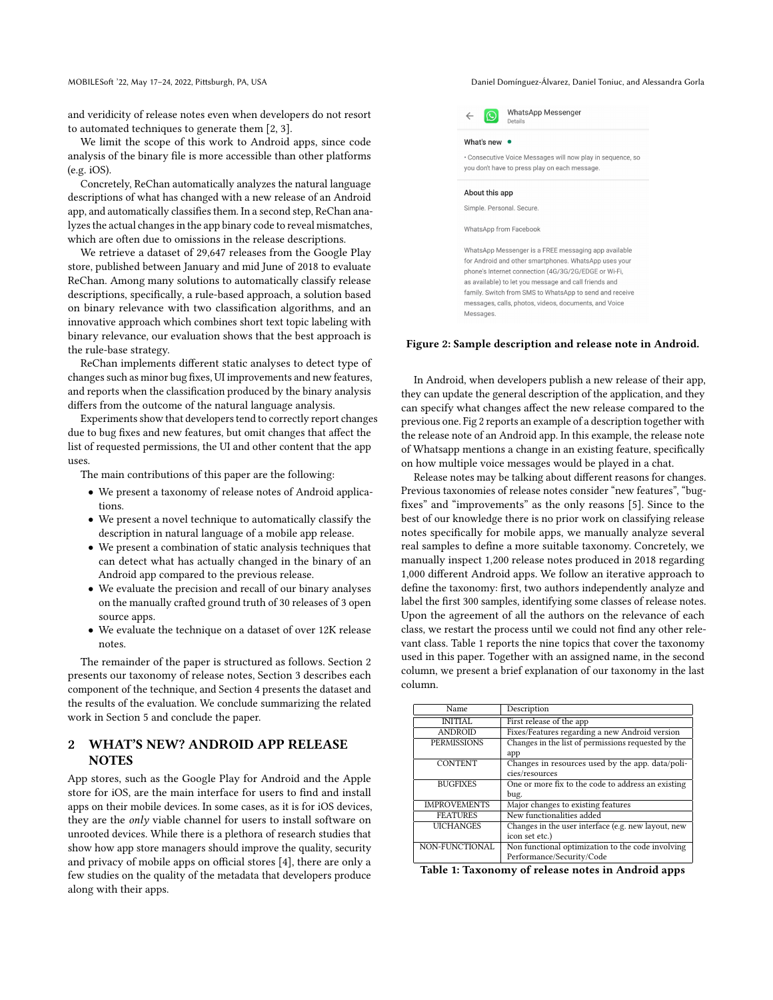#### MOBILESoft '22, May 17-24, 2022, Pittsburgh, PA, USA Daniel Domínguez-Álvarez, Daniel Toniuc, and Alessandra Gorla

and veridicity of release notes even when developers do not resort to automated techniques to generate them [\[2,](#page-10-2) [3\]](#page-10-3).

We limit the scope of this work to Android apps, since code analysis of the binary file is more accessible than other platforms (e.g. iOS).

Concretely, ReChan automatically analyzes the natural language descriptions of what has changed with a new release of an Android app, and automatically classifies them. In a second step, ReChan analyzes the actual changes in the app binary code to reveal mismatches, which are often due to omissions in the release descriptions.

We retrieve a dataset of 29,647 releases from the Google Play store, published between January and mid June of 2018 to evaluate ReChan. Among many solutions to automatically classify release descriptions, specifically, a rule-based approach, a solution based on binary relevance with two classification algorithms, and an innovative approach which combines short text topic labeling with binary relevance, our evaluation shows that the best approach is the rule-base strategy.

ReChan implements different static analyses to detect type of changes such as minor bug fixes, UI improvements and new features, and reports when the classification produced by the binary analysis differs from the outcome of the natural language analysis.

Experiments show that developers tend to correctly report changes due to bug fixes and new features, but omit changes that affect the list of requested permissions, the UI and other content that the app uses.

The main contributions of this paper are the following:

- We present a taxonomy of release notes of Android applications.
- We present a novel technique to automatically classify the description in natural language of a mobile app release.
- We present a combination of static analysis techniques that can detect what has actually changed in the binary of an Android app compared to the previous release.
- We evaluate the precision and recall of our binary analyses on the manually crafted ground truth of 30 releases of 3 open source apps.
- We evaluate the technique on a dataset of over 12K release notes.

The remainder of the paper is structured as follows. Section [2](#page-1-0) presents our taxonomy of release notes, Section [3](#page-2-0) describes each component of the technique, and Section [4](#page-5-0) presents the dataset and the results of the evaluation. We conclude summarizing the related work in Section [5](#page-8-0) and conclude the paper.

# <span id="page-1-0"></span>2 WHAT'S NEW? ANDROID APP RELEASE **NOTES**

App stores, such as the Google Play for Android and the Apple store for iOS, are the main interface for users to find and install apps on their mobile devices. In some cases, as it is for iOS devices, they are the only viable channel for users to install software on unrooted devices. While there is a plethora of research studies that show how app store managers should improve the quality, security and privacy of mobile apps on official stores [\[4\]](#page-10-4), there are only a few studies on the quality of the metadata that developers produce along with their apps.

<span id="page-1-1"></span>

Figure 2: Sample description and release note in Android.

In Android, when developers publish a new release of their app, they can update the general description of the application, and they can specify what changes affect the new release compared to the previous one. Fig [2](#page-1-1) reports an example of a description together with the release note of an Android app. In this example, the release note of Whatsapp mentions a change in an existing feature, specifically on how multiple voice messages would be played in a chat.

Release notes may be talking about different reasons for changes. Previous taxonomies of release notes consider "new features", "bugfixes" and "improvements" as the only reasons [\[5\]](#page-10-5). Since to the best of our knowledge there is no prior work on classifying release notes specifically for mobile apps, we manually analyze several real samples to define a more suitable taxonomy. Concretely, we manually inspect 1,200 release notes produced in 2018 regarding 1,000 different Android apps. We follow an iterative approach to define the taxonomy: first, two authors independently analyze and label the first 300 samples, identifying some classes of release notes. Upon the agreement of all the authors on the relevance of each class, we restart the process until we could not find any other relevant class. Table [1](#page-1-2) reports the nine topics that cover the taxonomy used in this paper. Together with an assigned name, in the second column, we present a brief explanation of our taxonomy in the last column.

<span id="page-1-2"></span>

| Name                | Description                                         |
|---------------------|-----------------------------------------------------|
| <b>INITIAL</b>      | First release of the app                            |
| <b>ANDROID</b>      | Fixes/Features regarding a new Android version      |
| <b>PERMISSIONS</b>  | Changes in the list of permissions requested by the |
|                     | app                                                 |
| <b>CONTENT</b>      | Changes in resources used by the app. data/poli-    |
|                     | cies/resources                                      |
| <b>BUGFIXES</b>     | One or more fix to the code to address an existing  |
|                     | bug.                                                |
| <b>IMPROVEMENTS</b> | Major changes to existing features                  |
| <b>FEATURES</b>     | New functionalities added                           |
| <b>UICHANGES</b>    | Changes in the user interface (e.g. new layout, new |
|                     | icon set etc.)                                      |
| NON-FUNCTIONAL      | Non functional optimization to the code involving   |
|                     | Performance/Security/Code                           |

Table 1: Taxonomy of release notes in Android apps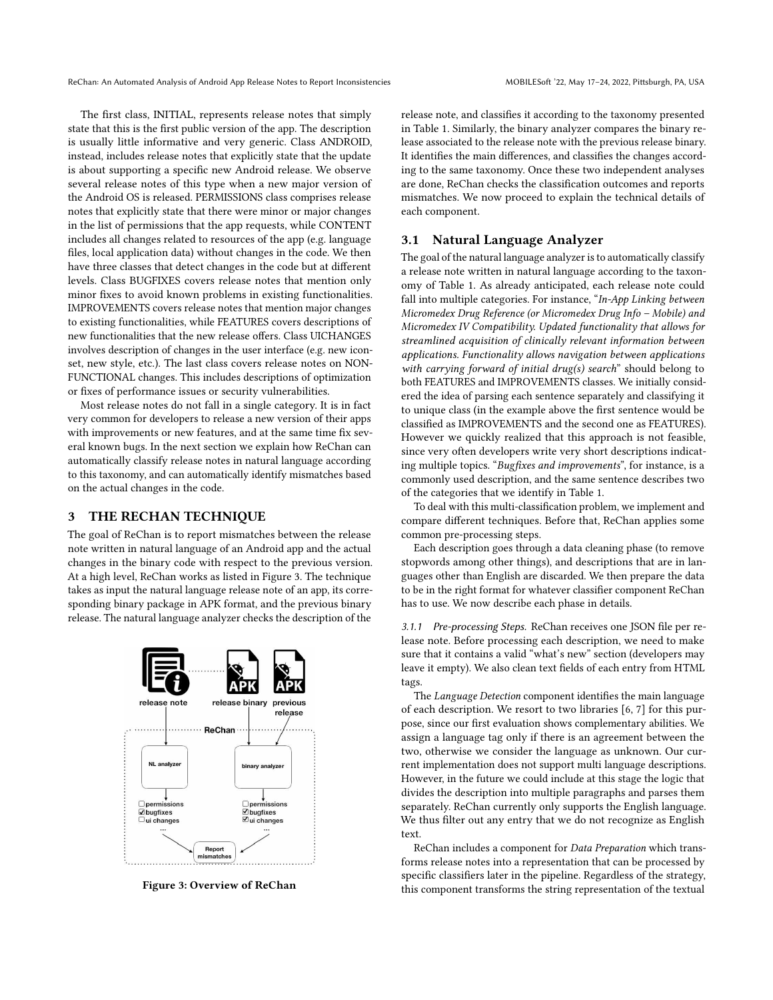The first class, INITIAL, represents release notes that simply state that this is the first public version of the app. The description is usually little informative and very generic. Class ANDROID, instead, includes release notes that explicitly state that the update is about supporting a specific new Android release. We observe several release notes of this type when a new major version of the Android OS is released. PERMISSIONS class comprises release notes that explicitly state that there were minor or major changes in the list of permissions that the app requests, while CONTENT includes all changes related to resources of the app (e.g. language files, local application data) without changes in the code. We then have three classes that detect changes in the code but at different levels. Class BUGFIXES covers release notes that mention only minor fixes to avoid known problems in existing functionalities. IMPROVEMENTS covers release notes that mention major changes to existing functionalities, while FEATURES covers descriptions of new functionalities that the new release offers. Class UICHANGES involves description of changes in the user interface (e.g. new iconset, new style, etc.). The last class covers release notes on NON-FUNCTIONAL changes. This includes descriptions of optimization or fixes of performance issues or security vulnerabilities.

Most release notes do not fall in a single category. It is in fact very common for developers to release a new version of their apps with improvements or new features, and at the same time fix several known bugs. In the next section we explain how ReChan can automatically classify release notes in natural language according to this taxonomy, and can automatically identify mismatches based on the actual changes in the code.

#### <span id="page-2-0"></span>3 THE RECHAN TECHNIQUE

The goal of ReChan is to report mismatches between the release note written in natural language of an Android app and the actual changes in the binary code with respect to the previous version. At a high level, ReChan works as listed in Figure [3.](#page-2-1) The technique takes as input the natural language release note of an app, its corresponding binary package in APK format, and the previous binary release. The natural language analyzer checks the description of the

<span id="page-2-1"></span>

Figure 3: Overview of ReChan

release note, and classifies it according to the taxonomy presented in Table [1.](#page-1-2) Similarly, the binary analyzer compares the binary release associated to the release note with the previous release binary. It identifies the main differences, and classifies the changes according to the same taxonomy. Once these two independent analyses are done, ReChan checks the classification outcomes and reports mismatches. We now proceed to explain the technical details of each component.

#### 3.1 Natural Language Analyzer

The goal of the natural language analyzer is to automatically classify a release note written in natural language according to the taxonomy of Table [1.](#page-1-2) As already anticipated, each release note could fall into multiple categories. For instance, "In-App Linking between Micromedex Drug Reference (or Micromedex Drug Info – Mobile) and Micromedex IV Compatibility. Updated functionality that allows for streamlined acquisition of clinically relevant information between applications. Functionality allows navigation between applications with carrying forward of initial drug(s) search" should belong to both FEATURES and IMPROVEMENTS classes. We initially considered the idea of parsing each sentence separately and classifying it to unique class (in the example above the first sentence would be classified as IMPROVEMENTS and the second one as FEATURES). However we quickly realized that this approach is not feasible, since very often developers write very short descriptions indicating multiple topics. "Bugfixes and improvements", for instance, is a commonly used description, and the same sentence describes two of the categories that we identify in Table [1.](#page-1-2)

To deal with this multi-classification problem, we implement and compare different techniques. Before that, ReChan applies some common pre-processing steps.

Each description goes through a data cleaning phase (to remove stopwords among other things), and descriptions that are in languages other than English are discarded. We then prepare the data to be in the right format for whatever classifier component ReChan has to use. We now describe each phase in details.

<span id="page-2-2"></span>3.1.1 Pre-processing Steps. ReChan receives one JSON file per release note. Before processing each description, we need to make sure that it contains a valid "what's new" section (developers may leave it empty). We also clean text fields of each entry from HTML tags.

The Language Detection component identifies the main language of each description. We resort to two libraries [\[6,](#page-10-6) [7\]](#page-10-7) for this purpose, since our first evaluation shows complementary abilities. We assign a language tag only if there is an agreement between the two, otherwise we consider the language as unknown. Our current implementation does not support multi language descriptions. However, in the future we could include at this stage the logic that divides the description into multiple paragraphs and parses them separately. ReChan currently only supports the English language. We thus filter out any entry that we do not recognize as English text.

ReChan includes a component for Data Preparation which transforms release notes into a representation that can be processed by specific classifiers later in the pipeline. Regardless of the strategy, this component transforms the string representation of the textual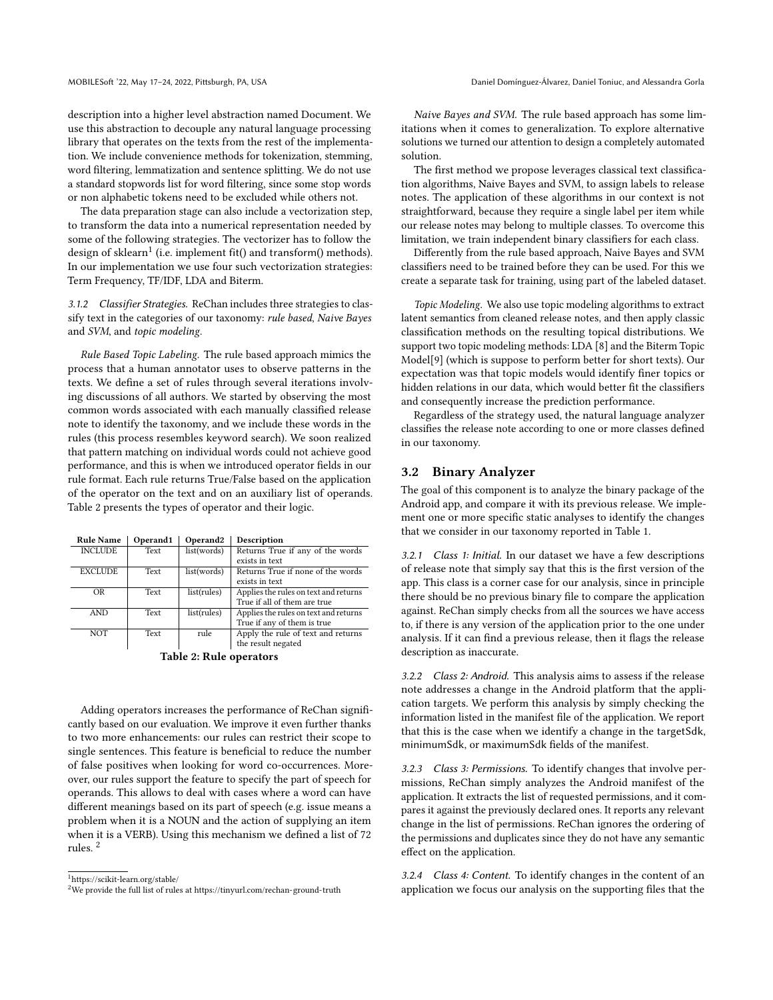description into a higher level abstraction named Document. We use this abstraction to decouple any natural language processing library that operates on the texts from the rest of the implementation. We include convenience methods for tokenization, stemming, word filtering, lemmatization and sentence splitting. We do not use a standard stopwords list for word filtering, since some stop words or non alphabetic tokens need to be excluded while others not.

The data preparation stage can also include a vectorization step, to transform the data into a numerical representation needed by some of the following strategies. The vectorizer has to follow the design of sklearn $^1$  $^1$  (i.e. implement fit() and transform() methods). In our implementation we use four such vectorization strategies: Term Frequency, TF/IDF, LDA and Biterm.

3.1.2 Classifier Strategies. ReChan includes three strategies to classify text in the categories of our taxonomy: rule based, Naive Bayes and SVM, and topic modeling.

Rule Based Topic Labeling. The rule based approach mimics the process that a human annotator uses to observe patterns in the texts. We define a set of rules through several iterations involving discussions of all authors. We started by observing the most common words associated with each manually classified release note to identify the taxonomy, and we include these words in the rules (this process resembles keyword search). We soon realized that pattern matching on individual words could not achieve good performance, and this is when we introduced operator fields in our rule format. Each rule returns True/False based on the application of the operator on the text and on an auxiliary list of operands. Table [2](#page-3-1) presents the types of operator and their logic.

<span id="page-3-1"></span>

| <b>Rule Name</b>        | Operand1 | Operand <sub>2</sub> | Description                           |  |
|-------------------------|----------|----------------------|---------------------------------------|--|
| <b>INCLUDE</b>          | Text     | list(words)          | Returns True if any of the words      |  |
|                         |          |                      | exists in text                        |  |
| <b>EXCLUDE</b>          | Text     | list(words)          | Returns True if none of the words     |  |
|                         |          |                      | exists in text                        |  |
| OR                      | Text     | list(rules)          | Applies the rules on text and returns |  |
|                         |          |                      | True if all of them are true          |  |
| <b>AND</b>              | Text     | list(rules)          | Applies the rules on text and returns |  |
|                         |          |                      | True if any of them is true           |  |
| <b>NOT</b>              | Text     | rule                 | Apply the rule of text and returns    |  |
|                         |          |                      | the result negated                    |  |
| Table 9. Dula anouators |          |                      |                                       |  |

Table 2: Rule operators

Adding operators increases the performance of ReChan significantly based on our evaluation. We improve it even further thanks to two more enhancements: our rules can restrict their scope to single sentences. This feature is beneficial to reduce the number of false positives when looking for word co-occurrences. Moreover, our rules support the feature to specify the part of speech for operands. This allows to deal with cases where a word can have different meanings based on its part of speech (e.g. issue means a problem when it is a NOUN and the action of supplying an item when it is a VERB). Using this mechanism we defined a list of 72 rules. [2](#page-3-2)

<span id="page-3-0"></span><sup>1</sup>https://scikit-learn.org/stable/

Naive Bayes and SVM. The rule based approach has some limitations when it comes to generalization. To explore alternative solutions we turned our attention to design a completely automated solution.

The first method we propose leverages classical text classification algorithms, Naive Bayes and SVM, to assign labels to release notes. The application of these algorithms in our context is not straightforward, because they require a single label per item while our release notes may belong to multiple classes. To overcome this limitation, we train independent binary classifiers for each class.

Differently from the rule based approach, Naive Bayes and SVM classifiers need to be trained before they can be used. For this we create a separate task for training, using part of the labeled dataset.

Topic Modeling. We also use topic modeling algorithms to extract latent semantics from cleaned release notes, and then apply classic classification methods on the resulting topical distributions. We support two topic modeling methods: LDA [\[8\]](#page-10-8) and the Biterm Topic Model[\[9\]](#page-10-9) (which is suppose to perform better for short texts). Our expectation was that topic models would identify finer topics or hidden relations in our data, which would better fit the classifiers and consequently increase the prediction performance.

Regardless of the strategy used, the natural language analyzer classifies the release note according to one or more classes defined in our taxonomy.

#### 3.2 Binary Analyzer

The goal of this component is to analyze the binary package of the Android app, and compare it with its previous release. We implement one or more specific static analyses to identify the changes that we consider in our taxonomy reported in Table [1.](#page-1-2)

3.2.1 Class 1: Initial. In our dataset we have a few descriptions of release note that simply say that this is the first version of the app. This class is a corner case for our analysis, since in principle there should be no previous binary file to compare the application against. ReChan simply checks from all the sources we have access to, if there is any version of the application prior to the one under analysis. If it can find a previous release, then it flags the release description as inaccurate.

3.2.2 Class 2: Android. This analysis aims to assess if the release note addresses a change in the Android platform that the application targets. We perform this analysis by simply checking the information listed in the manifest file of the application. We report that this is the case when we identify a change in the targetSdk, minimumSdk, or maximumSdk fields of the manifest.

3.2.3 Class 3: Permissions. To identify changes that involve permissions, ReChan simply analyzes the Android manifest of the application. It extracts the list of requested permissions, and it compares it against the previously declared ones. It reports any relevant change in the list of permissions. ReChan ignores the ordering of the permissions and duplicates since they do not have any semantic effect on the application.

3.2.4 Class 4: Content. To identify changes in the content of an application we focus our analysis on the supporting files that the

<span id="page-3-2"></span><sup>&</sup>lt;sup>2</sup>We provide the full list of rules at<https://tinyurl.com/rechan-ground-truth>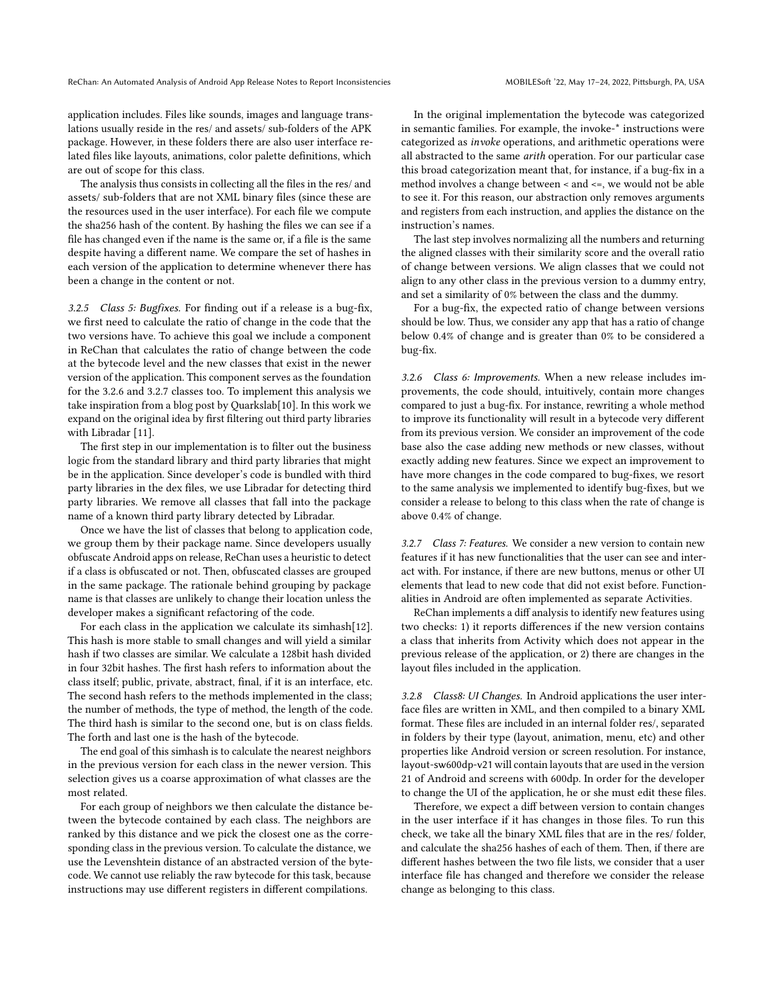application includes. Files like sounds, images and language translations usually reside in the res/ and assets/ sub-folders of the APK package. However, in these folders there are also user interface related files like layouts, animations, color palette definitions, which are out of scope for this class.

The analysis thus consists in collecting all the files in the res/ and assets/ sub-folders that are not XML binary files (since these are the resources used in the user interface). For each file we compute the sha256 hash of the content. By hashing the files we can see if a file has changed even if the name is the same or, if a file is the same despite having a different name. We compare the set of hashes in each version of the application to determine whenever there has been a change in the content or not.

3.2.5 Class 5: Bugfixes. For finding out if a release is a bug-fix, we first need to calculate the ratio of change in the code that the two versions have. To achieve this goal we include a component in ReChan that calculates the ratio of change between the code at the bytecode level and the new classes that exist in the newer version of the application. This component serves as the foundation for the [3.2.6](#page-4-0) and [3.2.7](#page-4-1) classes too. To implement this analysis we take inspiration from a blog post by Quarkslab[\[10\]](#page-10-10). In this work we expand on the original idea by first filtering out third party libraries with Libradar [\[11\]](#page-10-11).

The first step in our implementation is to filter out the business logic from the standard library and third party libraries that might be in the application. Since developer's code is bundled with third party libraries in the dex files, we use Libradar for detecting third party libraries. We remove all classes that fall into the package name of a known third party library detected by Libradar.

Once we have the list of classes that belong to application code, we group them by their package name. Since developers usually obfuscate Android apps on release, ReChan uses a heuristic to detect if a class is obfuscated or not. Then, obfuscated classes are grouped in the same package. The rationale behind grouping by package name is that classes are unlikely to change their location unless the developer makes a significant refactoring of the code.

For each class in the application we calculate its simhash[\[12\]](#page-10-12). This hash is more stable to small changes and will yield a similar hash if two classes are similar. We calculate a 128bit hash divided in four 32bit hashes. The first hash refers to information about the class itself; public, private, abstract, final, if it is an interface, etc. The second hash refers to the methods implemented in the class; the number of methods, the type of method, the length of the code. The third hash is similar to the second one, but is on class fields. The forth and last one is the hash of the bytecode.

The end goal of this simhash is to calculate the nearest neighbors in the previous version for each class in the newer version. This selection gives us a coarse approximation of what classes are the most related.

For each group of neighbors we then calculate the distance between the bytecode contained by each class. The neighbors are ranked by this distance and we pick the closest one as the corresponding class in the previous version. To calculate the distance, we use the Levenshtein distance of an abstracted version of the bytecode. We cannot use reliably the raw bytecode for this task, because instructions may use different registers in different compilations.

In the original implementation the bytecode was categorized in semantic families. For example, the invoke-\* instructions were categorized as invoke operations, and arithmetic operations were all abstracted to the same arith operation. For our particular case this broad categorization meant that, for instance, if a bug-fix in a method involves a change between < and <=, we would not be able to see it. For this reason, our abstraction only removes arguments and registers from each instruction, and applies the distance on the instruction's names.

The last step involves normalizing all the numbers and returning the aligned classes with their similarity score and the overall ratio of change between versions. We align classes that we could not align to any other class in the previous version to a dummy entry, and set a similarity of 0% between the class and the dummy.

For a bug-fix, the expected ratio of change between versions should be low. Thus, we consider any app that has a ratio of change below 0.4% of change and is greater than 0% to be considered a bug-fix.

<span id="page-4-0"></span>3.2.6 Class 6: Improvements. When a new release includes improvements, the code should, intuitively, contain more changes compared to just a bug-fix. For instance, rewriting a whole method to improve its functionality will result in a bytecode very different from its previous version. We consider an improvement of the code base also the case adding new methods or new classes, without exactly adding new features. Since we expect an improvement to have more changes in the code compared to bug-fixes, we resort to the same analysis we implemented to identify bug-fixes, but we consider a release to belong to this class when the rate of change is above 0.4% of change.

<span id="page-4-1"></span>3.2.7 Class 7: Features. We consider a new version to contain new features if it has new functionalities that the user can see and interact with. For instance, if there are new buttons, menus or other UI elements that lead to new code that did not exist before. Functionalities in Android are often implemented as separate Activities.

ReChan implements a diff analysis to identify new features using two checks: 1) it reports differences if the new version contains a class that inherits from Activity which does not appear in the previous release of the application, or 2) there are changes in the layout files included in the application.

3.2.8 Class8: UI Changes. In Android applications the user interface files are written in XML, and then compiled to a binary XML format. These files are included in an internal folder res/, separated in folders by their type (layout, animation, menu, etc) and other properties like Android version or screen resolution. For instance, layout-sw600dp-v21 will contain layouts that are used in the version 21 of Android and screens with 600dp. In order for the developer to change the UI of the application, he or she must edit these files.

Therefore, we expect a diff between version to contain changes in the user interface if it has changes in those files. To run this check, we take all the binary XML files that are in the res/ folder, and calculate the sha256 hashes of each of them. Then, if there are different hashes between the two file lists, we consider that a user interface file has changed and therefore we consider the release change as belonging to this class.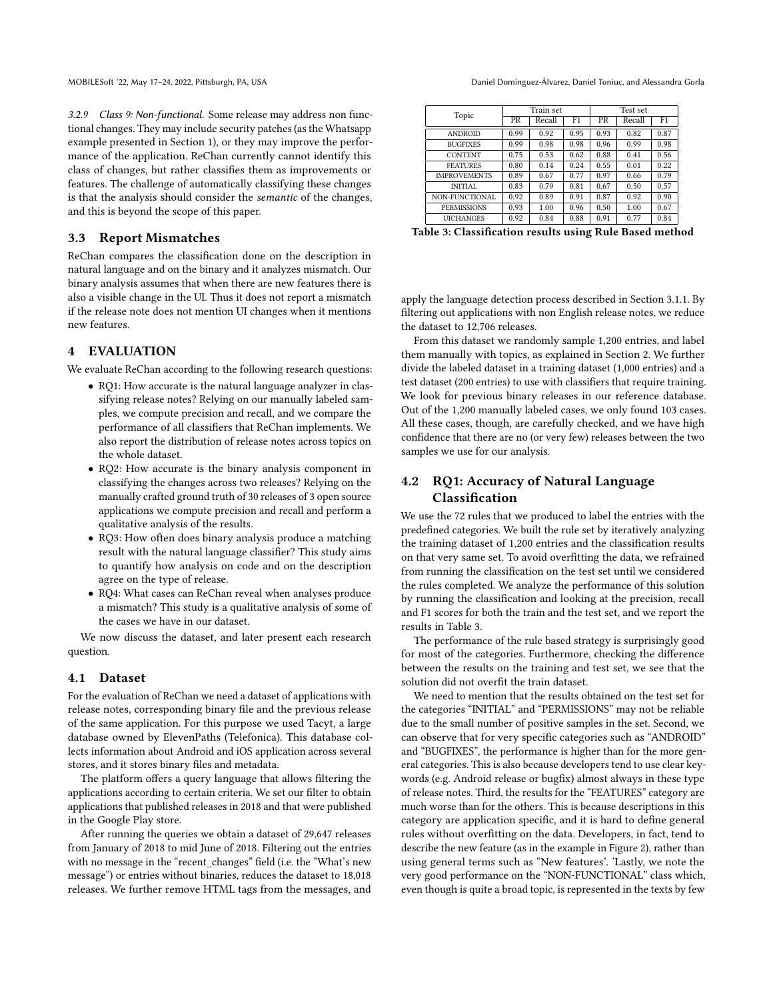3.2.9 Class 9: Non-functional. Some release may address non functional changes. They may include security patches (as the Whatsapp example presented in Section [1\)](#page-0-1), or they may improve the performance of the application. ReChan currently cannot identify this class of changes, but rather classifies them as improvements or features. The challenge of automatically classifying these changes is that the analysis should consider the semantic of the changes, and this is beyond the scope of this paper.

#### 3.3 Report Mismatches

ReChan compares the classification done on the description in natural language and on the binary and it analyzes mismatch. Our binary analysis assumes that when there are new features there is also a visible change in the UI. Thus it does not report a mismatch if the release note does not mention UI changes when it mentions new features.

### <span id="page-5-0"></span>4 EVALUATION

We evaluate ReChan according to the following research questions:

- RQ1: How accurate is the natural language analyzer in classifying release notes? Relying on our manually labeled samples, we compute precision and recall, and we compare the performance of all classifiers that ReChan implements. We also report the distribution of release notes across topics on the whole dataset.
- RQ2: How accurate is the binary analysis component in classifying the changes across two releases? Relying on the manually crafted ground truth of 30 releases of 3 open source applications we compute precision and recall and perform a qualitative analysis of the results.
- RQ3: How often does binary analysis produce a matching result with the natural language classifier? This study aims to quantify how analysis on code and on the description agree on the type of release.
- RQ4: What cases can ReChan reveal when analyses produce a mismatch? This study is a qualitative analysis of some of the cases we have in our dataset.

We now discuss the dataset, and later present each research question.

#### 4.1 Dataset

For the evaluation of ReChan we need a dataset of applications with release notes, corresponding binary file and the previous release of the same application. For this purpose we used Tacyt, a large database owned by ElevenPaths (Telefonica). This database collects information about Android and iOS application across several stores, and it stores binary files and metadata.

The platform offers a query language that allows filtering the applications according to certain criteria. We set our filter to obtain applications that published releases in 2018 and that were published in the Google Play store.

After running the queries we obtain a dataset of 29,647 releases from January of 2018 to mid June of 2018. Filtering out the entries with no message in the "recent\_changes" field (i.e. the "What's new message") or entries without binaries, reduces the dataset to 18,018 releases. We further remove HTML tags from the messages, and

MOBILESoft '22, May 17-24, 2022, Pittsburgh, PA, USA Daniel Domínguez-Álvarez, Daniel Toniuc, and Alessandra Gorla

<span id="page-5-1"></span>

| Topic               | Train set       |        |      | Test set |        |      |
|---------------------|-----------------|--------|------|----------|--------|------|
|                     | $\overline{PR}$ | Recall | F1   | PR       | Recall | F1   |
| <b>ANDROID</b>      | 0.99            | 0.92   | 0.95 | 0.93     | 0.82   | 0.87 |
| <b>BUGFIXES</b>     | 0.99            | 0.98   | 0.98 | 0.96     | 0.99   | 0.98 |
| <b>CONTENT</b>      | 0.75            | 0.53   | 0.62 | 0.88     | 0.41   | 0.56 |
| <b>FEATURES</b>     | 0.80            | 0.14   | 0.24 | 0.55     | 0.01   | 0.22 |
| <b>IMPROVEMENTS</b> | 0.89            | 0.67   | 0.77 | 0.97     | 0.66   | 0.79 |
| <b>INITIAL</b>      | 0.83            | 0.79   | 0.81 | 0.67     | 0.50   | 0.57 |
| NON-FUNCTIONAL      | 0.92            | 0.89   | 0.91 | 0.87     | 0.92   | 0.90 |
| <b>PERMISSIONS</b>  | 0.93            | 1.00   | 0.96 | 0.50     | 1.00   | 0.67 |
| <b>UICHANGES</b>    | 0.92            | 0.84   | 0.88 | 0.91     | 0.77   | 0.84 |

Table 3: Classification results using Rule Based method

apply the language detection process described in Section [3.1.1.](#page-2-2) By filtering out applications with non English release notes, we reduce the dataset to 12,706 releases.

From this dataset we randomly sample 1,200 entries, and label them manually with topics, as explained in Section [2.](#page-1-0) We further divide the labeled dataset in a training dataset (1,000 entries) and a test dataset (200 entries) to use with classifiers that require training. We look for previous binary releases in our reference database. Out of the 1,200 manually labeled cases, we only found 103 cases. All these cases, though, are carefully checked, and we have high confidence that there are no (or very few) releases between the two samples we use for our analysis.

## 4.2 RQ1: Accuracy of Natural Language Classification

We use the 72 rules that we produced to label the entries with the predefined categories. We built the rule set by iteratively analyzing the training dataset of 1,200 entries and the classification results on that very same set. To avoid overfitting the data, we refrained from running the classification on the test set until we considered the rules completed. We analyze the performance of this solution by running the classification and looking at the precision, recall and F1 scores for both the train and the test set, and we report the results in Table [3.](#page-5-1)

The performance of the rule based strategy is surprisingly good for most of the categories. Furthermore, checking the difference between the results on the training and test set, we see that the solution did not overfit the train dataset.

We need to mention that the results obtained on the test set for the categories "INITIAL" and "PERMISSIONS" may not be reliable due to the small number of positive samples in the set. Second, we can observe that for very specific categories such as "ANDROID" and "BUGFIXES", the performance is higher than for the more general categories. This is also because developers tend to use clear keywords (e.g. Android release or bugfix) almost always in these type of release notes. Third, the results for the "FEATURES" category are much worse than for the others. This is because descriptions in this category are application specific, and it is hard to define general rules without overfitting on the data. Developers, in fact, tend to describe the new feature (as in the example in Figure [2\)](#page-1-1), rather than using general terms such as "New features'. 'Lastly, we note the very good performance on the "NON-FUNCTIONAL" class which, even though is quite a broad topic, is represented in the texts by few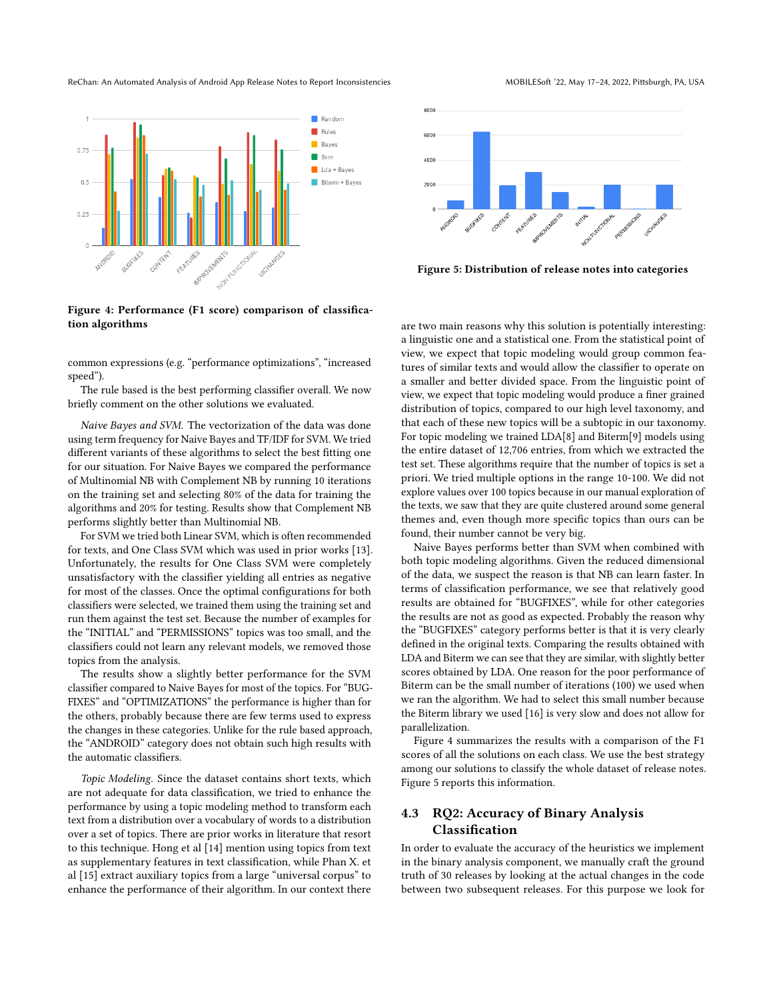ReChan: An Automated Analysis of Android App Release Notes to Report Inconsistencies MOBILESoft '22, May 17-24, 2022, Pittsburgh, PA, USA

<span id="page-6-0"></span>

Figure 4: Performance (F1 score) comparison of classification algorithms

common expressions (e.g. "performance optimizations", "increased speed").

The rule based is the best performing classifier overall. We now briefly comment on the other solutions we evaluated.

Naive Bayes and SVM. The vectorization of the data was done using term frequency for Naive Bayes and TF/IDF for SVM. We tried different variants of these algorithms to select the best fitting one for our situation. For Naive Bayes we compared the performance of Multinomial NB with Complement NB by running 10 iterations on the training set and selecting 80% of the data for training the algorithms and 20% for testing. Results show that Complement NB performs slightly better than Multinomial NB.

For SVM we tried both Linear SVM, which is often recommended for texts, and One Class SVM which was used in prior works [\[13\]](#page-10-13). Unfortunately, the results for One Class SVM were completely unsatisfactory with the classifier yielding all entries as negative for most of the classes. Once the optimal configurations for both classifiers were selected, we trained them using the training set and run them against the test set. Because the number of examples for the "INITIAL" and "PERMISSIONS" topics was too small, and the classifiers could not learn any relevant models, we removed those topics from the analysis.

The results show a slightly better performance for the SVM classifier compared to Naive Bayes for most of the topics. For "BUG-FIXES" and "OPTIMIZATIONS" the performance is higher than for the others, probably because there are few terms used to express the changes in these categories. Unlike for the rule based approach, the "ANDROID" category does not obtain such high results with the automatic classifiers.

Topic Modeling. Since the dataset contains short texts, which are not adequate for data classification, we tried to enhance the performance by using a topic modeling method to transform each text from a distribution over a vocabulary of words to a distribution over a set of topics. There are prior works in literature that resort to this technique. Hong et al [\[14\]](#page-10-14) mention using topics from text as supplementary features in text classification, while Phan X. et al [\[15\]](#page-10-15) extract auxiliary topics from a large "universal corpus" to enhance the performance of their algorithm. In our context there

<span id="page-6-1"></span>

Figure 5: Distribution of release notes into categories

are two main reasons why this solution is potentially interesting: a linguistic one and a statistical one. From the statistical point of view, we expect that topic modeling would group common features of similar texts and would allow the classifier to operate on a smaller and better divided space. From the linguistic point of view, we expect that topic modeling would produce a finer grained distribution of topics, compared to our high level taxonomy, and that each of these new topics will be a subtopic in our taxonomy. For topic modeling we trained LDA[\[8\]](#page-10-8) and Biterm[\[9\]](#page-10-9) models using the entire dataset of 12,706 entries, from which we extracted the test set. These algorithms require that the number of topics is set a priori. We tried multiple options in the range 10-100. We did not explore values over 100 topics because in our manual exploration of the texts, we saw that they are quite clustered around some general themes and, even though more specific topics than ours can be found, their number cannot be very big.

Naive Bayes performs better than SVM when combined with both topic modeling algorithms. Given the reduced dimensional of the data, we suspect the reason is that NB can learn faster. In terms of classification performance, we see that relatively good results are obtained for "BUGFIXES", while for other categories the results are not as good as expected. Probably the reason why the "BUGFIXES" category performs better is that it is very clearly defined in the original texts. Comparing the results obtained with LDA and Biterm we can see that they are similar, with slightly better scores obtained by LDA. One reason for the poor performance of Biterm can be the small number of iterations (100) we used when we ran the algorithm. We had to select this small number because the Biterm library we used [\[16\]](#page-10-16) is very slow and does not allow for parallelization.

Figure [4](#page-6-0) summarizes the results with a comparison of the F1 scores of all the solutions on each class. We use the best strategy among our solutions to classify the whole dataset of release notes. Figure [5](#page-6-1) reports this information.

# 4.3 RQ2: Accuracy of Binary Analysis Classification

In order to evaluate the accuracy of the heuristics we implement in the binary analysis component, we manually craft the ground truth of 30 releases by looking at the actual changes in the code between two subsequent releases. For this purpose we look for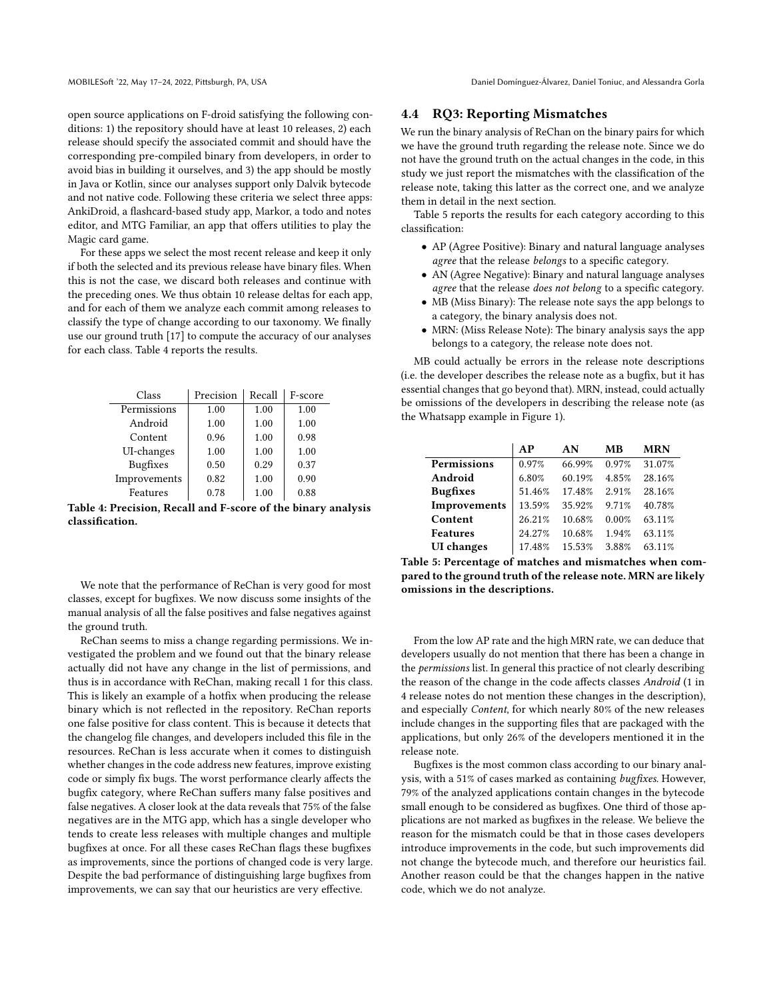MOBILESoft '22, May 17-24, 2022, Pittsburgh, PA, USA Daniel Domínguez-Álvarez, Daniel Toniuc, and Alessandra Gorla

open source applications on F-droid satisfying the following conditions: 1) the repository should have at least 10 releases, 2) each release should specify the associated commit and should have the corresponding pre-compiled binary from developers, in order to avoid bias in building it ourselves, and 3) the app should be mostly in Java or Kotlin, since our analyses support only Dalvik bytecode and not native code. Following these criteria we select three apps: AnkiDroid, a flashcard-based study app, Markor, a todo and notes editor, and MTG Familiar, an app that offers utilities to play the Magic card game.

For these apps we select the most recent release and keep it only if both the selected and its previous release have binary files. When this is not the case, we discard both releases and continue with the preceding ones. We thus obtain 10 release deltas for each app, and for each of them we analyze each commit among releases to classify the type of change according to our taxonomy. We finally use our ground truth [\[17\]](#page-10-17) to compute the accuracy of our analyses for each class. Table [4](#page-7-0) reports the results.

<span id="page-7-0"></span>

| Class           | Precision | Recall | F-score |
|-----------------|-----------|--------|---------|
| Permissions     | 1.00      | 1.00   | 1.00    |
| Android         | 1.00      | 1.00   | 1.00    |
| Content         | 0.96      | 1.00   | 0.98    |
| UI-changes      | 1.00      | 1.00   | 1.00    |
| <b>Bugfixes</b> | 0.50      | 0.29   | 0.37    |
| Improvements    | 0.82      | 1.00   | 0.90    |
| Features        | 0.78      | 1.00   | 0.88    |

Table 4: Precision, Recall and F-score of the binary analysis classification.

We note that the performance of ReChan is very good for most classes, except for bugfixes. We now discuss some insights of the manual analysis of all the false positives and false negatives against the ground truth.

ReChan seems to miss a change regarding permissions. We investigated the problem and we found out that the binary release actually did not have any change in the list of permissions, and thus is in accordance with ReChan, making recall 1 for this class. This is likely an example of a hotfix when producing the release binary which is not reflected in the repository. ReChan reports one false positive for class content. This is because it detects that the changelog file changes, and developers included this file in the resources. ReChan is less accurate when it comes to distinguish whether changes in the code address new features, improve existing code or simply fix bugs. The worst performance clearly affects the bugfix category, where ReChan suffers many false positives and false negatives. A closer look at the data reveals that 75% of the false negatives are in the MTG app, which has a single developer who tends to create less releases with multiple changes and multiple bugfixes at once. For all these cases ReChan flags these bugfixes as improvements, since the portions of changed code is very large. Despite the bad performance of distinguishing large bugfixes from improvements, we can say that our heuristics are very effective.

#### 4.4 RQ3: Reporting Mismatches

We run the binary analysis of ReChan on the binary pairs for which we have the ground truth regarding the release note. Since we do not have the ground truth on the actual changes in the code, in this study we just report the mismatches with the classification of the release note, taking this latter as the correct one, and we analyze them in detail in the next section.

Table [5](#page-7-1) reports the results for each category according to this classification:

- AP (Agree Positive): Binary and natural language analyses agree that the release belongs to a specific category.
- AN (Agree Negative): Binary and natural language analyses agree that the release does not belong to a specific category.
- MB (Miss Binary): The release note says the app belongs to a category, the binary analysis does not.
- MRN: (Miss Release Note): The binary analysis says the app belongs to a category, the release note does not.

MB could actually be errors in the release note descriptions (i.e. the developer describes the release note as a bugfix, but it has essential changes that go beyond that). MRN, instead, could actually be omissions of the developers in describing the release note (as the Whatsapp example in Figure [1\)](#page-0-0).

<span id="page-7-1"></span>

|                   | AP     | AN     | МB    | <b>MRN</b> |
|-------------------|--------|--------|-------|------------|
| Permissions       | 0.97%  | 66.99% | 0.97% | 31.07%     |
| Android           | 6.80%  | 60.19% | 4.85% | 28.16%     |
| <b>Bugfixes</b>   | 51.46% | 17.48% | 2.91% | 28.16%     |
| Improvements      | 13.59% | 35.92% | 9.71% | 40.78%     |
| Content           | 26.21% | 10.68% | 0.00% | 63.11%     |
| <b>Features</b>   | 24.27% | 10.68% | 1.94% | 63.11%     |
| <b>UI</b> changes | 17.48% | 15.53% | 3.88% | 63.11%     |

Table 5: Percentage of matches and mismatches when compared to the ground truth of the release note. MRN are likely omissions in the descriptions.

From the low AP rate and the high MRN rate, we can deduce that developers usually do not mention that there has been a change in the permissions list. In general this practice of not clearly describing the reason of the change in the code affects classes Android (1 in 4 release notes do not mention these changes in the description), and especially Content, for which nearly 80% of the new releases include changes in the supporting files that are packaged with the applications, but only 26% of the developers mentioned it in the release note.

Bugfixes is the most common class according to our binary analysis, with a 51% of cases marked as containing bugfixes. However, 79% of the analyzed applications contain changes in the bytecode small enough to be considered as bugfixes. One third of those applications are not marked as bugfixes in the release. We believe the reason for the mismatch could be that in those cases developers introduce improvements in the code, but such improvements did not change the bytecode much, and therefore our heuristics fail. Another reason could be that the changes happen in the native code, which we do not analyze.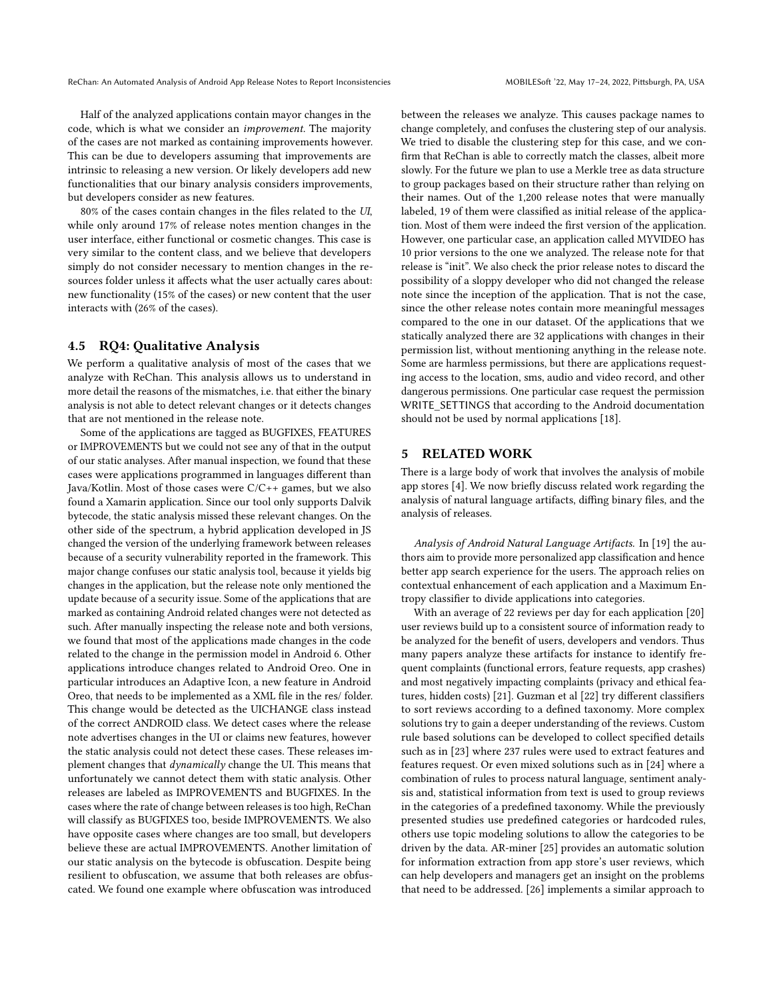Half of the analyzed applications contain mayor changes in the code, which is what we consider an improvement. The majority of the cases are not marked as containing improvements however. This can be due to developers assuming that improvements are intrinsic to releasing a new version. Or likely developers add new functionalities that our binary analysis considers improvements, but developers consider as new features.

80% of the cases contain changes in the files related to the UI, while only around 17% of release notes mention changes in the user interface, either functional or cosmetic changes. This case is very similar to the content class, and we believe that developers simply do not consider necessary to mention changes in the resources folder unless it affects what the user actually cares about: new functionality (15% of the cases) or new content that the user interacts with (26% of the cases).

#### 4.5 RQ4: Qualitative Analysis

We perform a qualitative analysis of most of the cases that we analyze with ReChan. This analysis allows us to understand in more detail the reasons of the mismatches, i.e. that either the binary analysis is not able to detect relevant changes or it detects changes that are not mentioned in the release note.

Some of the applications are tagged as BUGFIXES, FEATURES or IMPROVEMENTS but we could not see any of that in the output of our static analyses. After manual inspection, we found that these cases were applications programmed in languages different than Java/Kotlin. Most of those cases were C/C++ games, but we also found a Xamarin application. Since our tool only supports Dalvik bytecode, the static analysis missed these relevant changes. On the other side of the spectrum, a hybrid application developed in JS changed the version of the underlying framework between releases because of a security vulnerability reported in the framework. This major change confuses our static analysis tool, because it yields big changes in the application, but the release note only mentioned the update because of a security issue. Some of the applications that are marked as containing Android related changes were not detected as such. After manually inspecting the release note and both versions, we found that most of the applications made changes in the code related to the change in the permission model in Android 6. Other applications introduce changes related to Android Oreo. One in particular introduces an Adaptive Icon, a new feature in Android Oreo, that needs to be implemented as a XML file in the res/ folder. This change would be detected as the UICHANGE class instead of the correct ANDROID class. We detect cases where the release note advertises changes in the UI or claims new features, however the static analysis could not detect these cases. These releases implement changes that dynamically change the UI. This means that unfortunately we cannot detect them with static analysis. Other releases are labeled as IMPROVEMENTS and BUGFIXES. In the cases where the rate of change between releases is too high, ReChan will classify as BUGFIXES too, beside IMPROVEMENTS. We also have opposite cases where changes are too small, but developers believe these are actual IMPROVEMENTS. Another limitation of our static analysis on the bytecode is obfuscation. Despite being resilient to obfuscation, we assume that both releases are obfuscated. We found one example where obfuscation was introduced

between the releases we analyze. This causes package names to change completely, and confuses the clustering step of our analysis. We tried to disable the clustering step for this case, and we confirm that ReChan is able to correctly match the classes, albeit more slowly. For the future we plan to use a Merkle tree as data structure to group packages based on their structure rather than relying on their names. Out of the 1,200 release notes that were manually labeled, 19 of them were classified as initial release of the application. Most of them were indeed the first version of the application. However, one particular case, an application called MYVIDEO has 10 prior versions to the one we analyzed. The release note for that release is "init". We also check the prior release notes to discard the possibility of a sloppy developer who did not changed the release note since the inception of the application. That is not the case, since the other release notes contain more meaningful messages compared to the one in our dataset. Of the applications that we statically analyzed there are 32 applications with changes in their permission list, without mentioning anything in the release note. Some are harmless permissions, but there are applications requesting access to the location, sms, audio and video record, and other dangerous permissions. One particular case request the permission WRITE\_SETTINGS that according to the Android documentation should not be used by normal applications [\[18\]](#page-10-18).

#### <span id="page-8-0"></span>5 RELATED WORK

There is a large body of work that involves the analysis of mobile app stores [\[4\]](#page-10-4). We now briefly discuss related work regarding the analysis of natural language artifacts, diffing binary files, and the analysis of releases.

Analysis of Android Natural Language Artifacts. In [\[19\]](#page-10-19) the authors aim to provide more personalized app classification and hence better app search experience for the users. The approach relies on contextual enhancement of each application and a Maximum Entropy classifier to divide applications into categories.

With an average of 22 reviews per day for each application [\[20\]](#page-10-20) user reviews build up to a consistent source of information ready to be analyzed for the benefit of users, developers and vendors. Thus many papers analyze these artifacts for instance to identify frequent complaints (functional errors, feature requests, app crashes) and most negatively impacting complaints (privacy and ethical features, hidden costs) [\[21\]](#page-10-21). Guzman et al [\[22\]](#page-10-22) try different classifiers to sort reviews according to a defined taxonomy. More complex solutions try to gain a deeper understanding of the reviews. Custom rule based solutions can be developed to collect specified details such as in [\[23\]](#page-10-23) where 237 rules were used to extract features and features request. Or even mixed solutions such as in [\[24\]](#page-10-24) where a combination of rules to process natural language, sentiment analysis and, statistical information from text is used to group reviews in the categories of a predefined taxonomy. While the previously presented studies use predefined categories or hardcoded rules, others use topic modeling solutions to allow the categories to be driven by the data. AR-miner [\[25\]](#page-10-25) provides an automatic solution for information extraction from app store's user reviews, which can help developers and managers get an insight on the problems that need to be addressed. [\[26\]](#page-10-26) implements a similar approach to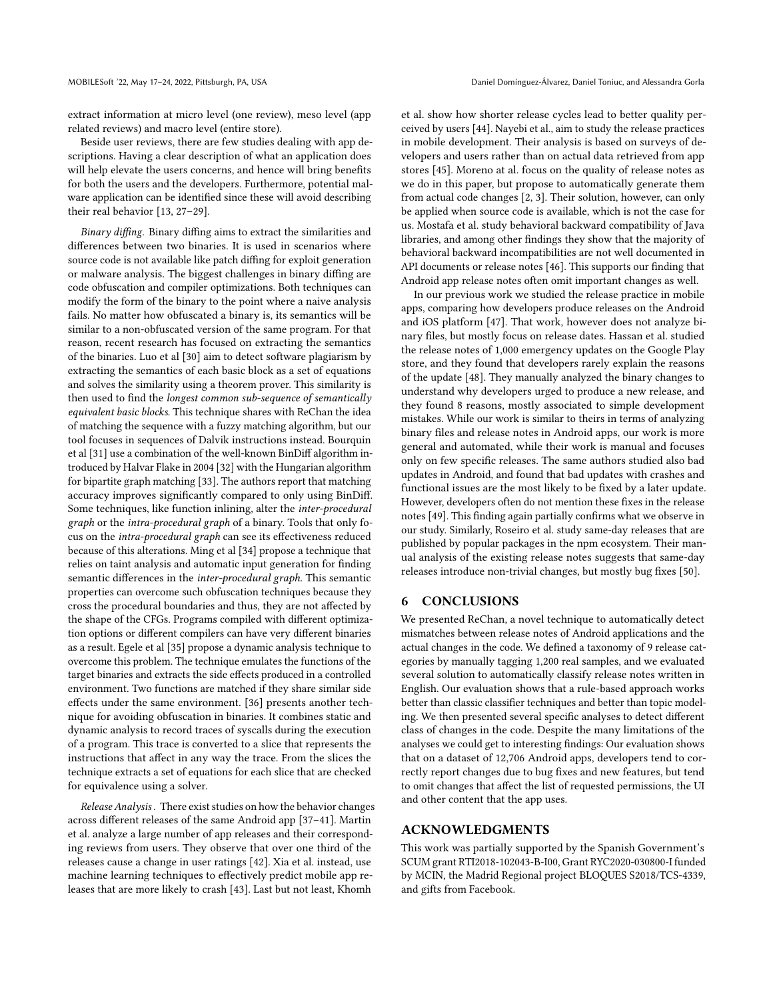extract information at micro level (one review), meso level (app related reviews) and macro level (entire store).

Beside user reviews, there are few studies dealing with app descriptions. Having a clear description of what an application does will help elevate the users concerns, and hence will bring benefits for both the users and the developers. Furthermore, potential malware application can be identified since these will avoid describing their real behavior [\[13,](#page-10-13) [27–](#page-10-27)[29\]](#page-10-28).

Binary diffing. Binary diffing aims to extract the similarities and differences between two binaries. It is used in scenarios where source code is not available like patch diffing for exploit generation or malware analysis. The biggest challenges in binary diffing are code obfuscation and compiler optimizations. Both techniques can modify the form of the binary to the point where a naive analysis fails. No matter how obfuscated a binary is, its semantics will be similar to a non-obfuscated version of the same program. For that reason, recent research has focused on extracting the semantics of the binaries. Luo et al [\[30\]](#page-10-29) aim to detect software plagiarism by extracting the semantics of each basic block as a set of equations and solves the similarity using a theorem prover. This similarity is then used to find the longest common sub-sequence of semantically equivalent basic blocks. This technique shares with ReChan the idea of matching the sequence with a fuzzy matching algorithm, but our tool focuses in sequences of Dalvik instructions instead. Bourquin et al [\[31\]](#page-10-30) use a combination of the well-known BinDiff algorithm introduced by Halvar Flake in 2004 [\[32\]](#page-10-31) with the Hungarian algorithm for bipartite graph matching [\[33\]](#page-10-32). The authors report that matching accuracy improves significantly compared to only using BinDiff. Some techniques, like function inlining, alter the inter-procedural graph or the intra-procedural graph of a binary. Tools that only focus on the intra-procedural graph can see its effectiveness reduced because of this alterations. Ming et al [\[34\]](#page-10-33) propose a technique that relies on taint analysis and automatic input generation for finding semantic differences in the inter-procedural graph. This semantic properties can overcome such obfuscation techniques because they cross the procedural boundaries and thus, they are not affected by the shape of the CFGs. Programs compiled with different optimization options or different compilers can have very different binaries as a result. Egele et al [\[35\]](#page-10-34) propose a dynamic analysis technique to overcome this problem. The technique emulates the functions of the target binaries and extracts the side effects produced in a controlled environment. Two functions are matched if they share similar side effects under the same environment. [\[36\]](#page-10-35) presents another technique for avoiding obfuscation in binaries. It combines static and dynamic analysis to record traces of syscalls during the execution of a program. This trace is converted to a slice that represents the instructions that affect in any way the trace. From the slices the technique extracts a set of equations for each slice that are checked for equivalence using a solver.

Release Analysis . There exist studies on how the behavior changes across different releases of the same Android app [\[37](#page-10-36)[–41\]](#page-10-37). Martin et al. analyze a large number of app releases and their corresponding reviews from users. They observe that over one third of the releases cause a change in user ratings [\[42\]](#page-10-38). Xia et al. instead, use machine learning techniques to effectively predict mobile app releases that are more likely to crash [\[43\]](#page-10-39). Last but not least, Khomh

et al. show how shorter release cycles lead to better quality perceived by users [\[44\]](#page-10-40). Nayebi et al., aim to study the release practices in mobile development. Their analysis is based on surveys of developers and users rather than on actual data retrieved from app stores [\[45\]](#page-10-41). Moreno at al. focus on the quality of release notes as we do in this paper, but propose to automatically generate them from actual code changes [\[2,](#page-10-2) [3\]](#page-10-3). Their solution, however, can only be applied when source code is available, which is not the case for us. Mostafa et al. study behavioral backward compatibility of Java libraries, and among other findings they show that the majority of behavioral backward incompatibilities are not well documented in API documents or release notes [\[46\]](#page-10-42). This supports our finding that Android app release notes often omit important changes as well.

In our previous work we studied the release practice in mobile apps, comparing how developers produce releases on the Android and iOS platform [\[47\]](#page-10-43). That work, however does not analyze binary files, but mostly focus on release dates. Hassan et al. studied the release notes of 1,000 emergency updates on the Google Play store, and they found that developers rarely explain the reasons of the update [\[48\]](#page-10-44). They manually analyzed the binary changes to understand why developers urged to produce a new release, and they found 8 reasons, mostly associated to simple development mistakes. While our work is similar to theirs in terms of analyzing binary files and release notes in Android apps, our work is more general and automated, while their work is manual and focuses only on few specific releases. The same authors studied also bad updates in Android, and found that bad updates with crashes and functional issues are the most likely to be fixed by a later update. However, developers often do not mention these fixes in the release notes [\[49\]](#page-10-45). This finding again partially confirms what we observe in our study. Similarly, Roseiro et al. study same-day releases that are published by popular packages in the npm ecosystem. Their manual analysis of the existing release notes suggests that same-day releases introduce non-trivial changes, but mostly bug fixes [\[50\]](#page-10-46).

# 6 CONCLUSIONS

We presented ReChan, a novel technique to automatically detect mismatches between release notes of Android applications and the actual changes in the code. We defined a taxonomy of 9 release categories by manually tagging 1,200 real samples, and we evaluated several solution to automatically classify release notes written in English. Our evaluation shows that a rule-based approach works better than classic classifier techniques and better than topic modeling. We then presented several specific analyses to detect different class of changes in the code. Despite the many limitations of the analyses we could get to interesting findings: Our evaluation shows that on a dataset of 12,706 Android apps, developers tend to correctly report changes due to bug fixes and new features, but tend to omit changes that affect the list of requested permissions, the UI and other content that the app uses.

#### ACKNOWLEDGMENTS

This work was partially supported by the Spanish Government's SCUM grant RTI2018-102043-B-I00, Grant RYC2020-030800-I funded by MCIN, the Madrid Regional project BLOQUES S2018/TCS-4339, and gifts from Facebook.